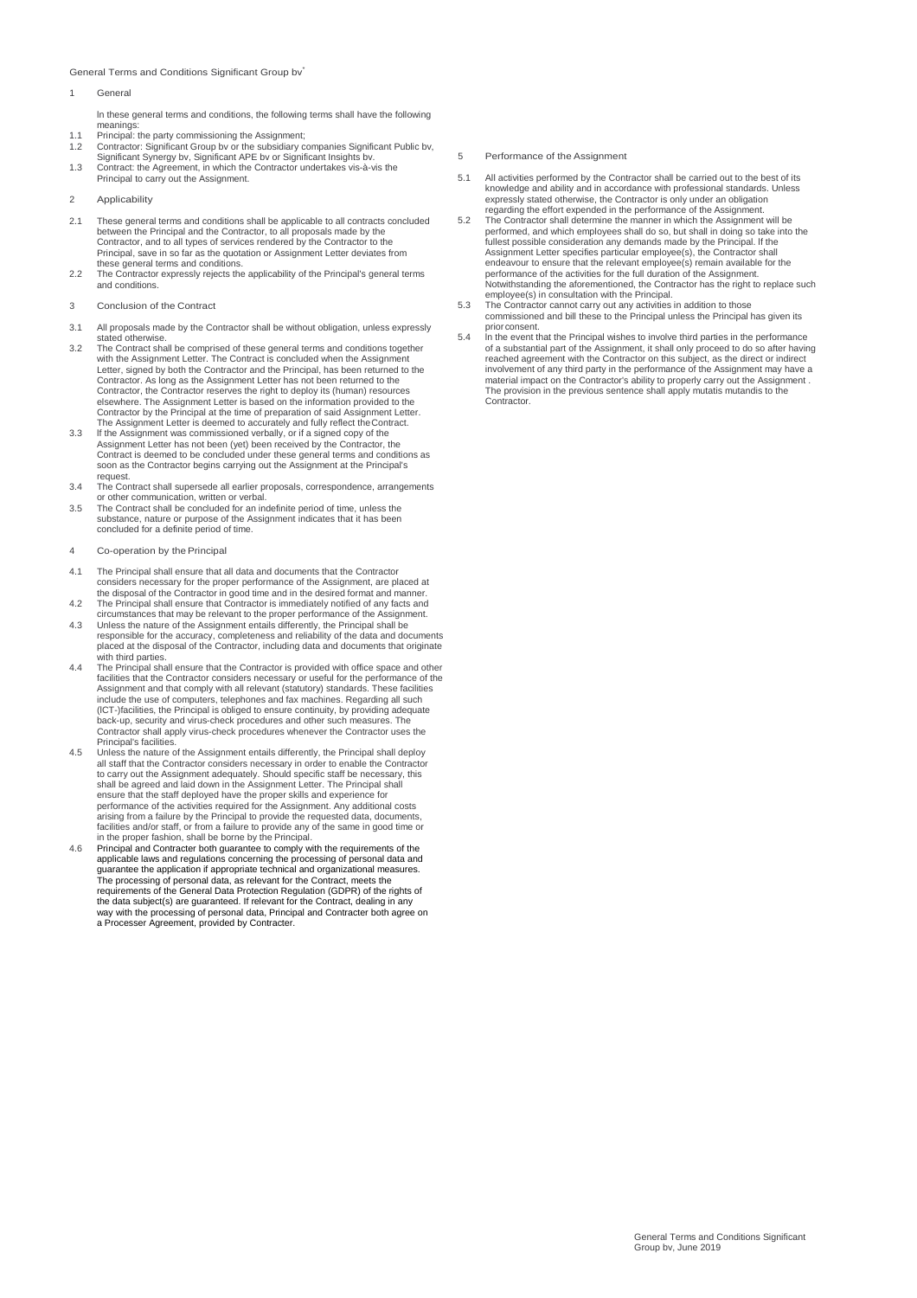### General Terms and Conditions Significant Group bv\*

### **General**

ln these general terms and conditions, the following terms shall have the following meanings:<br>
Principal: the party commissioning the Assignment;

- 
- 1.1 Principal: the party commissioning the Assignment;<br>1.2 Contractor: Significant Group by or the subsidiary companies Significant Public by,<br>Significant Synergy by, Significant APE by or Significant Insights by.<br>1.3 Cont
- 
- 2 Applicability
- 2.1 These general terms and conditions shall be applicable to all contracts concluded between the Principal and the Contractor, to all proposals made by the Contractor, and to all types of services rendered by the Contractor to the Principal, save in so far as the quotation or Assignment Letter deviates from these general terms and conditions.
- 2.2 The Contractor expressly rejects the applicability of the Principal's general terms and conditions.
- 3 Conclusion of the Contract
- 3.1 All proposals made by the Contractor shall be without obligation, unless expressly
- stated otherwise. 3.2 The Contract shall be comprised of these general terms and conditions together with the Assignment Letter. The Contract is concluded when the Assignment Letter, signed by both the Contractor and the Principal, has been returned to the Contractor. As long as the Assignment Letter has not been returned to the Contractor, the Contractor reserves the right to deploy its (human) resources elsewhere. The Assignment Letter is based on the information provided to the Contractor by the Principal at the time of preparation of said Assignment Letter.
- The Assignment Letter is deemed to accurately and fully reflect theContract. 3.3 lf the Assignment was commissioned verbally, or if a signed copy of the Assignment Letter has not been (yet) been received by the Contractor, the Contract is deemed to be concluded under these general terms and conditions as soon as the Contractor begins carrying out the Assignment at the Principal's request.
- 3.4 The Contract shall supersede all earlier proposals, correspondence, arrangements or other communication, written or verbal.
- 3.5 The Contract shall be concluded for an indefinite period of time, unless the substance, nature or purpose of the Assignment indicates that it has been concluded for a definite period of time.
- 4 Co-operation by the Principal
- 4.1 The Principal shall ensure that all data and documents that the Contractor considers necessary for the proper performance of the Assignment, are placed at<br>the disposal of the Contractor in good time and in the desired format and manner.<br>4.2 The Principal shall ensure that Contractor is immediatel
- circumstances that may be relevant to the proper performance of the Assignment. 4.3 Unless the nature of the Assignment entails differently, the Principal shall be responsible for the accuracy, completeness and reliability of the data and documents placed at the disposal of the Contractor, including data and documents that originate
- with third parties. 4.4 The Principal shall ensure that the Contractor is provided with office space and other facilities that the Contractor considers necessary or useful for the performance of the<br>Assignment and that comply with all relevant (statutory) standards. These facilities<br>include the use of computers, telephones and fax back-up, security and virus-check procedures and other such measures. The Contractor shall apply virus-check procedures whenever the Contractor uses the
- Principal's facilities. 4.5 Unless the nature of the Assignment entails differently, the Principal shall deploy all staff that the Contractor considers necessary in order to enable the Contractor to carry out the Assignment adequately. Should specific staff be necessary, this shall be agreed and laid down in the Assignment Letter. The Principal shall<br>ensure that the staff deployed have the proper skills and experience for<br>performance of the activities required for the Assignment. Any additional arising from a failure by the Principal to provide the requested data, documents, facilities and/or staff, or from a failure to provide any of the same in good time or
- in the proper fashion, shall be borne by the Principal. 4.6 Principal and Contracter both guarantee to comply with the requirements of the applicable laws and regulations concerning the processing of personal data and guarantee the application if appropriate technical and organizational measures. The processing of personal data, as relevant for the Contract, meets the requirements of the General Data Protection Regulation (GDPR) of the rights of the data subject(s) are guaranteed. If relevant for the Contract, dealing in any way with the processing of personal data, Principal and Contracter both agree on a Processer Agreement, provided by Contracter.
- 5 Performance of the Assignment
- 5.1 All activities performed by the Contractor shall be carried out to the best of its knowledge and ability and in accordance with professional standards. Unless expressly stated otherwise, the Contractor is only under an obligation
- regarding the effort expended in the performance of the Assignment. 5.2 The Contractor shall determine the manner in which the Assignment will be performed, and which employees shall do so, but shall in doing so take into the fullest possible consideration any demands made by the Principal. lf the Assignment Letter specifies particular employee(s), the Contractor shall endeavour to ensure that the relevant employee(s) remain available for the performance of the activities for the full duration of the Assignment. Notwithstanding the aforementioned, the Contractor has the right to replace such employee(s) in consultation with the Principal.
- 5.3 The Contractor cannot carry out any activities in addition to those commissioned and bill these to the Principal unless the Principal has given its
- prior consent. 5.4 ln the event that the Principal wishes to involve third parties in the performance of a substantial part of the Assignment, it shall only proceed to do so after having<br>reached agreement with the Contractor on this subject, as the direct or indirect<br>involvement of any third party in the performance of the material impact on the Contractor's ability to properly carry out the Assignment . The provision in the previous sentence shall apply mutatis mutandis to the Contractor.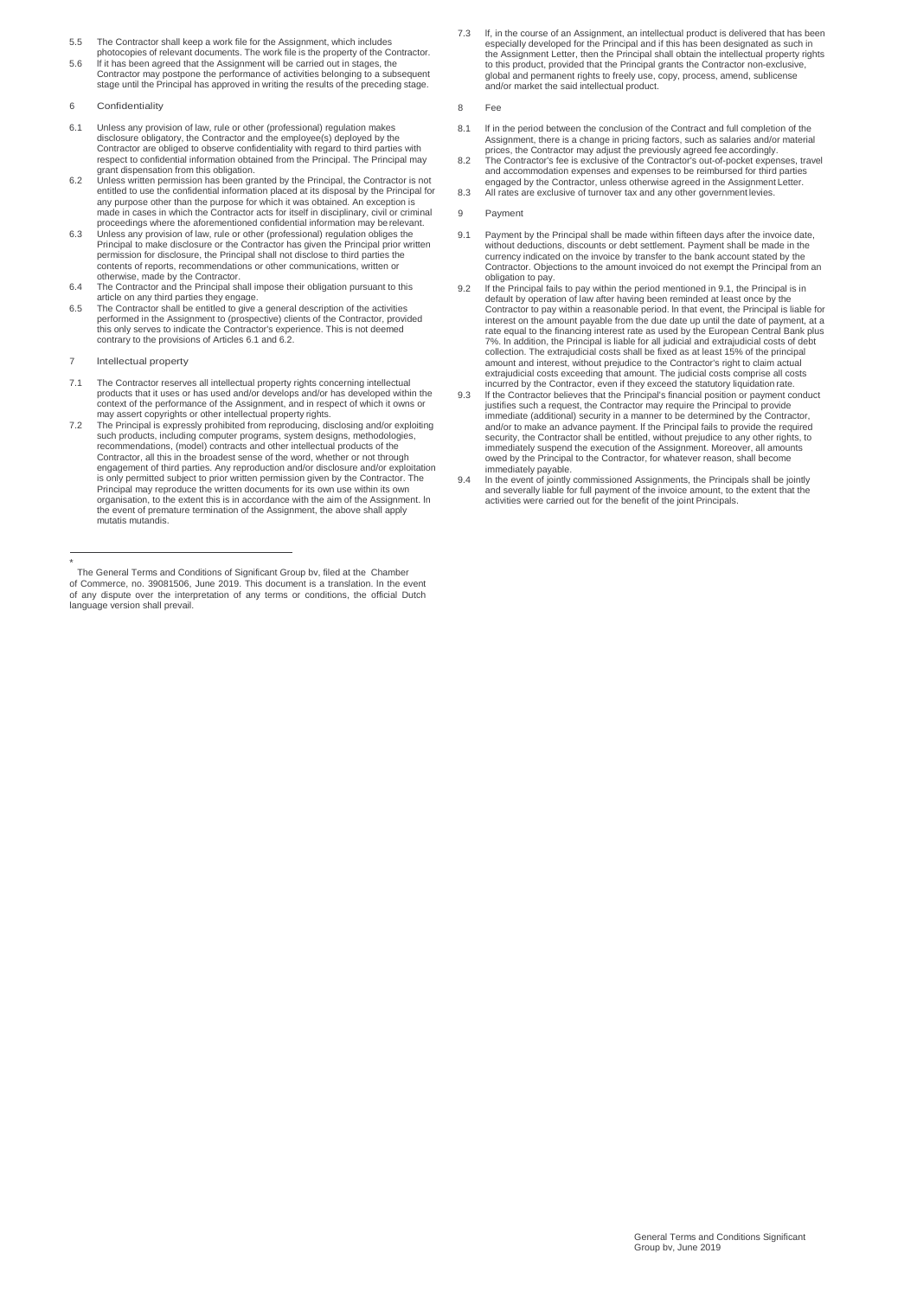- 
- 5.5 The Contractor shall keep a work file for the Assignment, which includes photocopies of relevant documents. The work file is the property of the Contractor. 5.6 lf it has been agreed that the Assignment will be carried out in stages, the Contractor may postpone the performance of activities belonging to a subsequent stage until the Principal has approved in writing the results of the preceding stage.

### 6 Confidentiality

- 6.1 Unless any provision of law, rule or other (professional) regulation makes disclosure obligatory, the Contractor and the employee(s) deployed by the Contractor are obliged to observe confidentiality with regard to third parties with respect to confidential information obtained from the Principal. The Principal may
- grant dispensation from this obligation.<br>6.2 Unless written permission has been granted by the Principal, the Contractor is not<br>entitled to use the confidential information placed at its disposal by the Principal for any purpose other than the purpose for which it was obtained. An exception is made in cases in which the Contractor acts for itself in disciplinary, civil or criminal
- proceedings where the aforementioned confidential information may berelevant. 6.3 Unless any provision of law, rule or other (professional) regulation obliges the Principal to make disclosure or the Contractor has given the Principal prior written permission for disclosure, the Principal shall not disclose to third parties the contents of reports, recommendations or other communications, written or
- otherwise, made by the Contractor. 6.4 The Contractor and the Principal shall impose their obligation pursuant to this article on any third parties they engage.
- 6.5 The Contractor shall be entitled to give a general description of the activities<br>performed in the Assignment to (prospective) clients of the Contractor, provided<br>this only serves to indicate the Contractor's experience contrary to the provisions of Articles 6.1 and 6.2.
- 7 lntellectual property
- 7.1 The Contractor reserves all intellectual property rights concerning intellectual<br>products that it uses or has used and/or develops and/or has developed within the<br>context of the performance of the Assignment, and in re may assert copyrights or other intellectual property rights.
- 7.2 The Principal is expressly prohibited from reproducing, disclosing and/or exploiting<br>such products, including computer programs, system designs, methodologies,<br>recommendations, (model) contracts and other intellectual Contractor, all this in the broadest sense of the word, whether or not through engagement of third parties. Any reproduction and/or disclosure and/or exploitation is only permitted subject to prior written permission given by the Contractor. The Principal may reproduce the written documents for its own use within its own organisation, to the extent this is in accordance with the aim of the Assignment. ln the event of premature termination of the Assignment, the above shall apply mutatis mutandis.

7.3 lf, in the course of an Assignment, an intellectual product is delivered that has been especially developed for the Principal and if this has been designated as such in the Assignment Letter, then the Principal shall obtain the intellectual property rights to this product, provided that the Principal grants the Contractor non-exclusive, global and permanent rights to freely use, copy, process, amend, sublicense and/or market the said intellectual product.

8 Fee

- 8.1 If in the period between the conclusion of the Contract and full completion of the Assignment, there is a change in pricing factors, such as salaries and/or material
- prices, the Contractor may adjust the previously agreed fee accordingly. 8.2 The Contractor's fee is exclusive of the Contractor's out-of-pocket expenses, travel and accommodation expenses and expenses to be reimbursed for third parties engaged by the Contractor, unless otherwise agreed in the Assignment Letter.
- 8.3 All rates are exclusive of turnover tax and any other government levies.
- 9 Payment
- 9.1 Payment by the Principal shall be made within fifteen days after the invoice date, without deductions, discounts or debt settlement. Payment shall be made in the currency indicated on the invoice by transfer to the bank account stated by the Contractor. Objections to the amount invoiced do not exempt the Principal from an obligation to pay.
- 9.2 lf the Principal fails to pay within the period mentioned in 9.1, the Principal is in default by operation of law after having been reminded at least once by the Contractor to pay within a reasonable period. ln that event, the Principal is liable for interest on the amount payable from the due date up until the date of payment, at a rate equal to the financing interest rate as used by the European Central Bank plus 7%. ln addition, the Principal is liable for all judicial and extrajudicial costs of debt collection. The extrajudicial costs shall be fixed as at least 15% of the principal amount and interest, without prejudice to the Contractor's right to claim actual extrajudicial costs exceeding that amount. The judicial costs comprise all costs<br>incurred by the Contractor, even if they exceed the statutory liquidation rate.<br>9.3 If the Contractor believes that the Principal's financia
- justifies such a request, the Contractor may require the Principal to provide immediate (additional) security in a manner to be determined by the Contractor, and/or to make an advance payment. lf the Principal fails to provide the required security, the Contractor shall be entitled, without prejudice to any other rights, to immediately suspend the execution of the Assignment. Moreover, all amounts owed by the Principal to the Contractor, for whatever reason, shall become immediately payable.
- 9.4 In the event of jointly commissioned Assignments, the Principals shall be jointly and severally liable for full payment of the invoice amount, to the extent that the activities were carried out for the benefit of the joint Principals.

<sup>\*</sup> The General Terms and Conditions of Significant Group bv, filed at the Chamber of Commerce, no. 39081506, June 2019. This document is a translation. ln the event of any dispute over the interpretation of any terms or conditions, the official Dutch language version shall prevail.